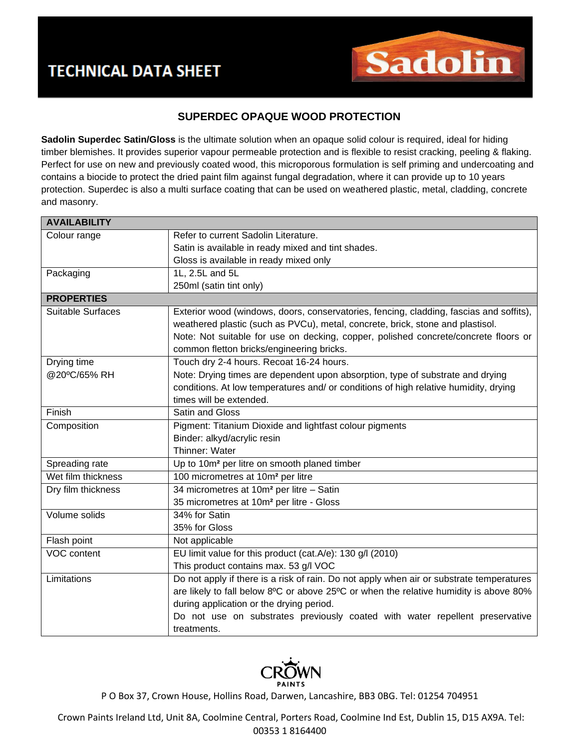

## **SUPERDEC OPAQUE WOOD PROTECTION**

**Sadolin Superdec Satin/Gloss** is the ultimate solution when an opaque solid colour is required, ideal for hiding timber blemishes. It provides superior vapour permeable protection and is flexible to resist cracking, peeling & flaking. Perfect for use on new and previously coated wood, this microporous formulation is self priming and undercoating and contains a biocide to protect the dried paint film against fungal degradation, where it can provide up to 10 years protection. Superdec is also a multi surface coating that can be used on weathered plastic, metal, cladding, concrete and masonry.

| <b>AVAILABILITY</b> |                                                                                          |
|---------------------|------------------------------------------------------------------------------------------|
| Colour range        | Refer to current Sadolin Literature.                                                     |
|                     | Satin is available in ready mixed and tint shades.                                       |
|                     | Gloss is available in ready mixed only                                                   |
| Packaging           | 1L, 2.5L and 5L                                                                          |
|                     | 250ml (satin tint only)                                                                  |
| <b>PROPERTIES</b>   |                                                                                          |
| Suitable Surfaces   | Exterior wood (windows, doors, conservatories, fencing, cladding, fascias and soffits),  |
|                     | weathered plastic (such as PVCu), metal, concrete, brick, stone and plastisol.           |
|                     | Note: Not suitable for use on decking, copper, polished concrete/concrete floors or      |
|                     | common fletton bricks/engineering bricks.                                                |
| Drying time         | Touch dry 2-4 hours. Recoat 16-24 hours.                                                 |
| @20°C/65% RH        | Note: Drying times are dependent upon absorption, type of substrate and drying           |
|                     | conditions. At low temperatures and/ or conditions of high relative humidity, drying     |
|                     | times will be extended.                                                                  |
| Finish              | Satin and Gloss                                                                          |
| Composition         | Pigment: Titanium Dioxide and lightfast colour pigments                                  |
|                     | Binder: alkyd/acrylic resin                                                              |
|                     | Thinner: Water                                                                           |
| Spreading rate      | Up to 10m <sup>2</sup> per litre on smooth planed timber                                 |
| Wet film thickness  | 100 micrometres at 10m <sup>2</sup> per litre                                            |
| Dry film thickness  | 34 micrometres at 10m <sup>2</sup> per litre - Satin                                     |
|                     | 35 micrometres at 10m <sup>2</sup> per litre - Gloss                                     |
| Volume solids       | 34% for Satin                                                                            |
|                     | 35% for Gloss                                                                            |
| Flash point         | Not applicable                                                                           |
| VOC content         | EU limit value for this product (cat.A/e): 130 g/l (2010)                                |
|                     | This product contains max. 53 g/l VOC                                                    |
| Limitations         | Do not apply if there is a risk of rain. Do not apply when air or substrate temperatures |
|                     | are likely to fall below 8°C or above 25°C or when the relative humidity is above 80%    |
|                     | during application or the drying period.                                                 |
|                     | Do not use on substrates previously coated with water repellent preservative             |
|                     | treatments.                                                                              |



P O Box 37, Crown House, Hollins Road, Darwen, Lancashire, BB3 0BG. Tel: 01254 704951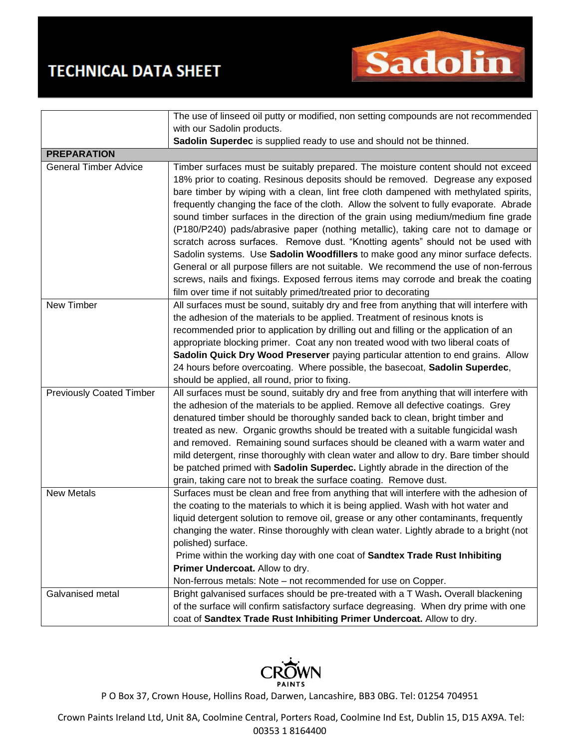## **TECHNICAL DATA SHEET**



|                                 | The use of linseed oil putty or modified, non setting compounds are not recommended      |
|---------------------------------|------------------------------------------------------------------------------------------|
|                                 | with our Sadolin products.                                                               |
|                                 | Sadolin Superdec is supplied ready to use and should not be thinned.                     |
| <b>PREPARATION</b>              |                                                                                          |
| <b>General Timber Advice</b>    | Timber surfaces must be suitably prepared. The moisture content should not exceed        |
|                                 | 18% prior to coating. Resinous deposits should be removed. Degrease any exposed          |
|                                 | bare timber by wiping with a clean, lint free cloth dampened with methylated spirits,    |
|                                 | frequently changing the face of the cloth. Allow the solvent to fully evaporate. Abrade  |
|                                 | sound timber surfaces in the direction of the grain using medium/medium fine grade       |
|                                 | (P180/P240) pads/abrasive paper (nothing metallic), taking care not to damage or         |
|                                 | scratch across surfaces. Remove dust. "Knotting agents" should not be used with          |
|                                 | Sadolin systems. Use Sadolin Woodfillers to make good any minor surface defects.         |
|                                 | General or all purpose fillers are not suitable. We recommend the use of non-ferrous     |
|                                 | screws, nails and fixings. Exposed ferrous items may corrode and break the coating       |
|                                 | film over time if not suitably primed/treated prior to decorating                        |
| <b>New Timber</b>               | All surfaces must be sound, suitably dry and free from anything that will interfere with |
|                                 | the adhesion of the materials to be applied. Treatment of resinous knots is              |
|                                 | recommended prior to application by drilling out and filling or the application of an    |
|                                 | appropriate blocking primer. Coat any non treated wood with two liberal coats of         |
|                                 | Sadolin Quick Dry Wood Preserver paying particular attention to end grains. Allow        |
|                                 | 24 hours before overcoating. Where possible, the basecoat, Sadolin Superdec,             |
|                                 | should be applied, all round, prior to fixing.                                           |
| <b>Previously Coated Timber</b> | All surfaces must be sound, suitably dry and free from anything that will interfere with |
|                                 | the adhesion of the materials to be applied. Remove all defective coatings. Grey         |
|                                 | denatured timber should be thoroughly sanded back to clean, bright timber and            |
|                                 | treated as new. Organic growths should be treated with a suitable fungicidal wash        |
|                                 | and removed. Remaining sound surfaces should be cleaned with a warm water and            |
|                                 | mild detergent, rinse thoroughly with clean water and allow to dry. Bare timber should   |
|                                 | be patched primed with Sadolin Superdec. Lightly abrade in the direction of the          |
|                                 | grain, taking care not to break the surface coating. Remove dust.                        |
| <b>New Metals</b>               | Surfaces must be clean and free from anything that will interfere with the adhesion of   |
|                                 | the coating to the materials to which it is being applied. Wash with hot water and       |
|                                 | liquid detergent solution to remove oil, grease or any other contaminants, frequently    |
|                                 | changing the water. Rinse thoroughly with clean water. Lightly abrade to a bright (not   |
|                                 | polished) surface.                                                                       |
|                                 | Prime within the working day with one coat of Sandtex Trade Rust Inhibiting              |
|                                 | Primer Undercoat. Allow to dry.                                                          |
|                                 | Non-ferrous metals: Note - not recommended for use on Copper.                            |
| Galvanised metal                | Bright galvanised surfaces should be pre-treated with a T Wash. Overall blackening       |
|                                 | of the surface will confirm satisfactory surface degreasing. When dry prime with one     |
|                                 | coat of Sandtex Trade Rust Inhibiting Primer Undercoat. Allow to dry.                    |



P O Box 37, Crown House, Hollins Road, Darwen, Lancashire, BB3 0BG. Tel: 01254 704951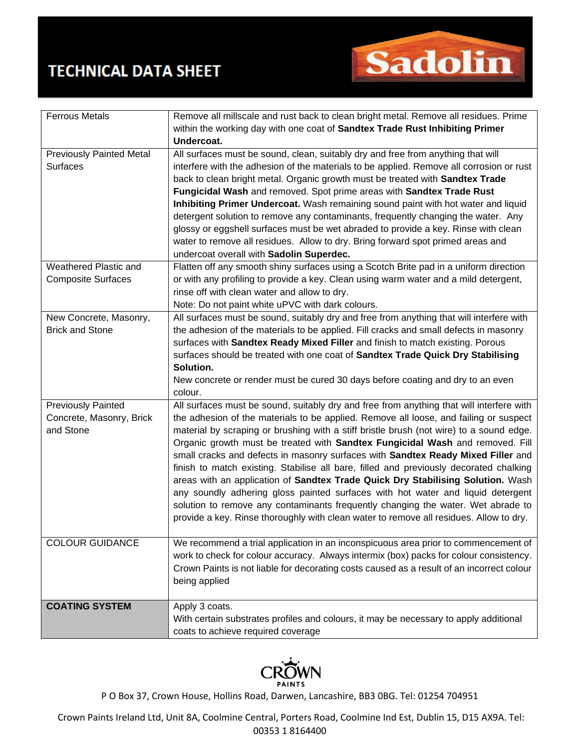## **TECHNICAL DATA SHEET**



| <b>Ferrous Metals</b>           | Remove all millscale and rust back to clean bright metal. Remove all residues. Prime      |
|---------------------------------|-------------------------------------------------------------------------------------------|
|                                 | within the working day with one coat of Sandtex Trade Rust Inhibiting Primer              |
|                                 | Undercoat.                                                                                |
| <b>Previously Painted Metal</b> | All surfaces must be sound, clean, suitably dry and free from anything that will          |
| Surfaces                        | interfere with the adhesion of the materials to be applied. Remove all corrosion or rust  |
|                                 | back to clean bright metal. Organic growth must be treated with Sandtex Trade             |
|                                 | Fungicidal Wash and removed. Spot prime areas with Sandtex Trade Rust                     |
|                                 | Inhibiting Primer Undercoat. Wash remaining sound paint with hot water and liquid         |
|                                 | detergent solution to remove any contaminants, frequently changing the water. Any         |
|                                 | glossy or eggshell surfaces must be wet abraded to provide a key. Rinse with clean        |
|                                 | water to remove all residues. Allow to dry. Bring forward spot primed areas and           |
|                                 | undercoat overall with Sadolin Superdec.                                                  |
| Weathered Plastic and           | Flatten off any smooth shiny surfaces using a Scotch Brite pad in a uniform direction     |
| <b>Composite Surfaces</b>       | or with any profiling to provide a key. Clean using warm water and a mild detergent,      |
|                                 | rinse off with clean water and allow to dry.                                              |
|                                 | Note: Do not paint white uPVC with dark colours.                                          |
| New Concrete, Masonry,          | All surfaces must be sound, suitably dry and free from anything that will interfere with  |
| <b>Brick and Stone</b>          | the adhesion of the materials to be applied. Fill cracks and small defects in masonry     |
|                                 | surfaces with Sandtex Ready Mixed Filler and finish to match existing. Porous             |
|                                 | surfaces should be treated with one coat of Sandtex Trade Quick Dry Stabilising           |
|                                 | Solution.                                                                                 |
|                                 | New concrete or render must be cured 30 days before coating and dry to an even            |
|                                 | colour.                                                                                   |
| <b>Previously Painted</b>       | All surfaces must be sound, suitably dry and free from anything that will interfere with  |
| Concrete, Masonry, Brick        | the adhesion of the materials to be applied. Remove all loose, and failing or suspect     |
| and Stone                       | material by scraping or brushing with a stiff bristle brush (not wire) to a sound edge.   |
|                                 | Organic growth must be treated with Sandtex Fungicidal Wash and removed. Fill             |
|                                 | small cracks and defects in masonry surfaces with Sandtex Ready Mixed Filler and          |
|                                 | finish to match existing. Stabilise all bare, filled and previously decorated chalking    |
|                                 | areas with an application of Sandtex Trade Quick Dry Stabilising Solution. Wash           |
|                                 | any soundly adhering gloss painted surfaces with hot water and liquid detergent           |
|                                 | solution to remove any contaminants frequently changing the water. Wet abrade to          |
|                                 | provide a key. Rinse thoroughly with clean water to remove all residues. Allow to dry.    |
|                                 |                                                                                           |
| <b>COLOUR GUIDANCE</b>          | We recommend a trial application in an inconspicuous area prior to commencement of        |
|                                 | work to check for colour accuracy. Always intermix (box) packs for colour consistency.    |
|                                 | Crown Paints is not liable for decorating costs caused as a result of an incorrect colour |
|                                 | being applied                                                                             |
|                                 |                                                                                           |
| <b>COATING SYSTEM</b>           | Apply 3 coats.                                                                            |
|                                 | With certain substrates profiles and colours, it may be necessary to apply additional     |
|                                 | coats to achieve required coverage                                                        |



P O Box 37, Crown House, Hollins Road, Darwen, Lancashire, BB3 0BG. Tel: 01254 704951